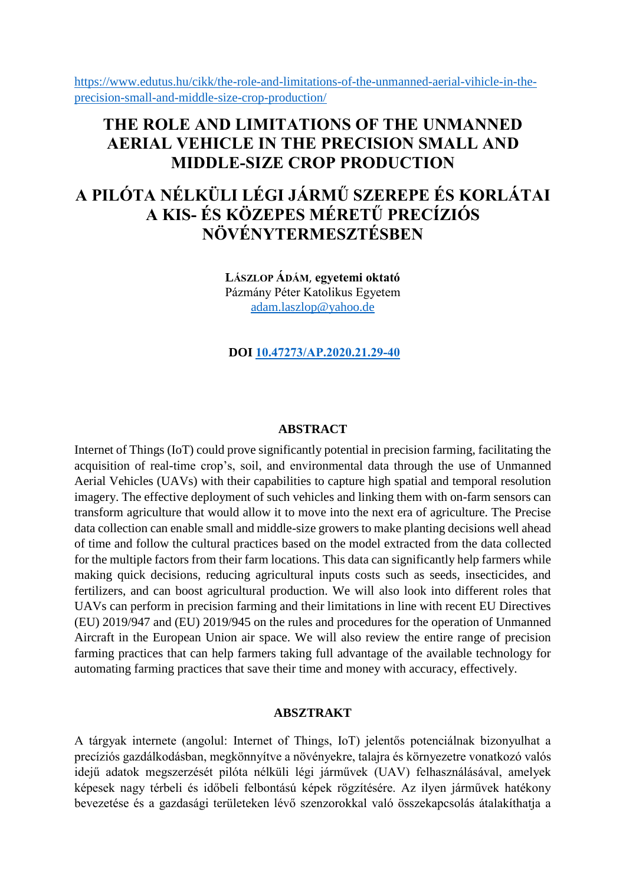[https://www.edutus.hu/cikk/the-role-and-limitations-of-the-unmanned-aerial-vihicle-in-the](https://www.edutus.hu/cikk/the-role-and-limitations-of-the-unmanned-aerial-vihicle-in-the-precision-small-and-middle-size-crop-production/)[precision-small-and-middle-size-crop-production/](https://www.edutus.hu/cikk/the-role-and-limitations-of-the-unmanned-aerial-vihicle-in-the-precision-small-and-middle-size-crop-production/)

# **THE ROLE AND LIMITATIONS OF THE UNMANNED AERIAL VEHICLE IN THE PRECISION SMALL AND MIDDLE-SIZE CROP PRODUCTION**

# **A PILÓTA NÉLKÜLI LÉGI JÁRMŰ SZEREPE ÉS KORLÁTAI A KIS- ÉS KÖZEPES MÉRETŰ PRECÍZIÓS NÖVÉNYTERMESZTÉSBEN**

**LÁSZLOP ÁDÁM**, **egyetemi oktató** Pázmány Péter Katolikus Egyetem [adam.laszlop@yahoo.de](mailto:adam.laszlop@yahoo.de)

**DOI [10.47273/AP.2020.21.29-40](https://doi.org/10.47273/AP.2020.21.29-40)**

## **ABSTRACT**

Internet of Things (IoT) could prove significantly potential in precision farming, facilitating the acquisition of real-time crop's, soil, and environmental data through the use of Unmanned Aerial Vehicles (UAVs) with their capabilities to capture high spatial and temporal resolution imagery. The effective deployment of such vehicles and linking them with on-farm sensors can transform agriculture that would allow it to move into the next era of agriculture. The Precise data collection can enable small and middle-size growers to make planting decisions well ahead of time and follow the cultural practices based on the model extracted from the data collected for the multiple factors from their farm locations. This data can significantly help farmers while making quick decisions, reducing agricultural inputs costs such as seeds, insecticides, and fertilizers, and can boost agricultural production. We will also look into different roles that UAVs can perform in precision farming and their limitations in line with recent EU Directives (EU) 2019/947 and (EU) 2019/945 on the rules and procedures for the operation of Unmanned Aircraft in the European Union air space. We will also review the entire range of precision farming practices that can help farmers taking full advantage of the available technology for automating farming practices that save their time and money with accuracy, effectively.

#### **ABSZTRAKT**

A tárgyak internete (angolul: Internet of Things, IoT) jelentős potenciálnak bizonyulhat a precíziós gazdálkodásban, megkönnyítve a növényekre, talajra és környezetre vonatkozó valós idejű adatok megszerzését pilóta nélküli légi járművek (UAV) felhasználásával, amelyek képesek nagy térbeli és időbeli felbontású képek rögzítésére. Az ilyen járművek hatékony bevezetése és a gazdasági területeken lévő szenzorokkal való összekapcsolás átalakíthatja a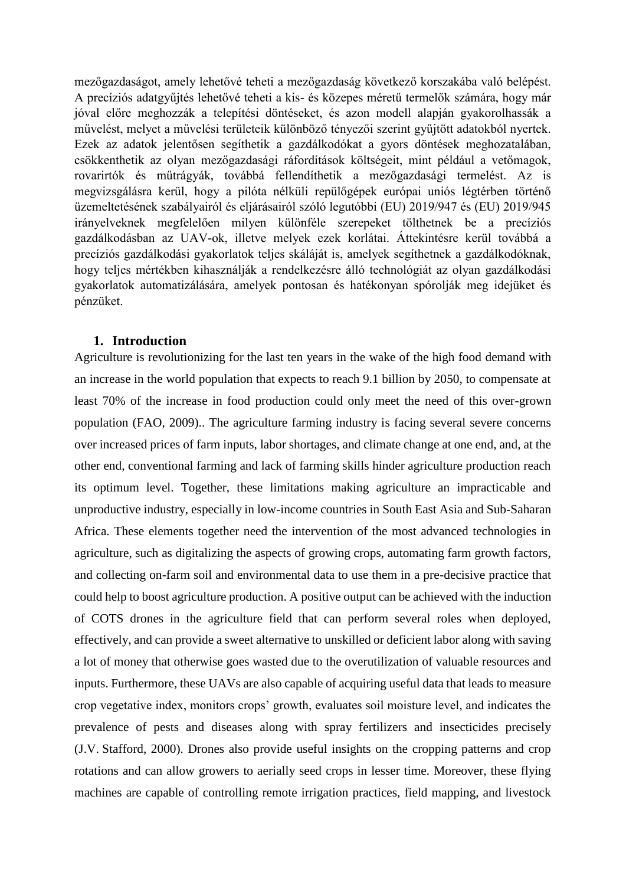mezőgazdaságot, amely lehetővé teheti a mezőgazdaság következő korszakába való belépést. A precíziós adatgyűjtés lehetővé teheti a kis- és közepes méretű termelők számára, hogy már jóval előre meghozzák a telepítési döntéseket, és azon modell alapján gyakorolhassák a művelést, melyet a művelési területeik különböző tényezői szerint gyűjtött adatokból nyertek. Ezek az adatok jelentősen segíthetik a gazdálkodókat a gyors döntések meghozatalában, csökkenthetik az olyan mezőgazdasági ráfordítások költségeit, mint például a vetőmagok, rovarirtók és műtrágyák, továbbá fellendíthetik a mezőgazdasági termelést. Az is megvizsgálásra kerül, hogy a pilóta nélküli repülőgépek európai uniós légtérben történő üzemeltetésének szabályairól és eljárásairól szóló legutóbbi (EU) 2019/947 és (EU) 2019/945 irányelveknek megfelelően milyen különféle szerepeket tölthetnek be a precíziós gazdálkodásban az UAV-ok, illetve melyek ezek korlátai. Áttekintésre kerül továbbá a precíziós gazdálkodási gyakorlatok teljes skáláját is, amelyek segíthetnek a gazdálkodóknak, hogy teljes mértékben kihasználják a rendelkezésre álló technológiát az olyan gazdálkodási gyakorlatok automatizálására, amelyek pontosan és hatékonyan spórolják meg idejüket és pénzüket.

# **1. Introduction**

Agriculture is revolutionizing for the last ten years in the wake of the high food demand with an increase in the world population that expects to reach 9.1 billion by 2050, to compensate at least 70% of the increase in food production could only meet the need of this over-grown population (FAO, 2009).. The agriculture farming industry is facing several severe concerns over increased prices of farm inputs, labor shortages, and climate change at one end, and, at the other end, conventional farming and lack of farming skills hinder agriculture production reach its optimum level. Together, these limitations making agriculture an impracticable and unproductive industry, especially in low-income countries in South East Asia and Sub-Saharan Africa. These elements together need the intervention of the most advanced technologies in agriculture, such as digitalizing the aspects of growing crops, automating farm growth factors, and collecting on-farm soil and environmental data to use them in a pre-decisive practice that could help to boost agriculture production. A positive output can be achieved with the induction of COTS drones in the agriculture field that can perform several roles when deployed, effectively, and can provide a sweet alternative to unskilled or deficient labor along with saving a lot of money that otherwise goes wasted due to the overutilization of valuable resources and inputs. Furthermore, these UAVs are also capable of acquiring useful data that leads to measure crop vegetative index, monitors crops' growth, evaluates soil moisture level, and indicates the prevalence of pests and diseases along with spray fertilizers and insecticides precisely (J.V. Stafford, 2000). Drones also provide useful insights on the cropping patterns and crop rotations and can allow growers to aerially seed crops in lesser time. Moreover, these flying machines are capable of controlling remote irrigation practices, field mapping, and livestock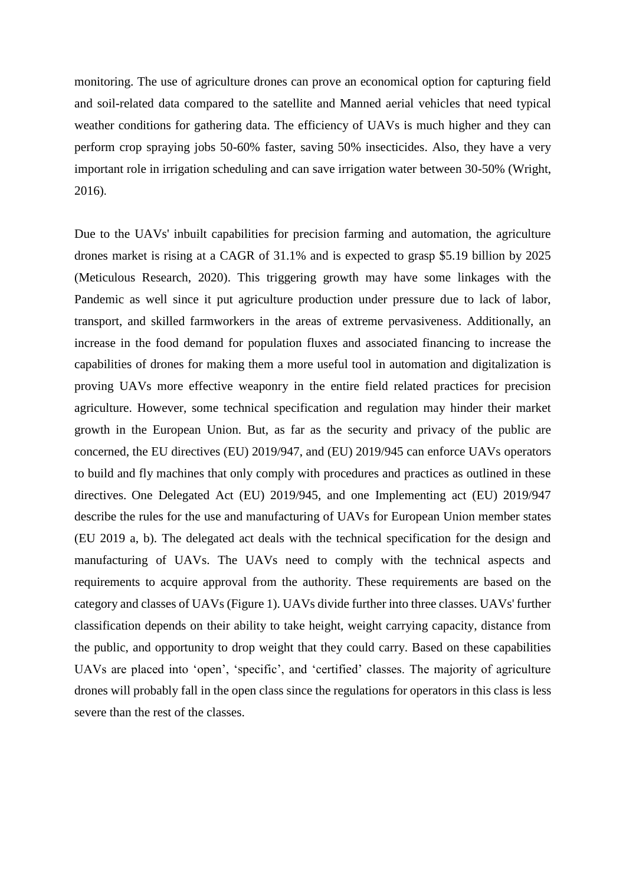monitoring. The use of agriculture drones can prove an economical option for capturing field and soil-related data compared to the satellite and Manned aerial vehicles that need typical weather conditions for gathering data. The efficiency of UAVs is much higher and they can perform crop spraying jobs 50-60% faster, saving 50% insecticides. Also, they have a very important role in irrigation scheduling and can save irrigation water between 30-50% (Wright, 2016).

Due to the UAVs' inbuilt capabilities for precision farming and automation, the agriculture drones market is rising at a CAGR of 31.1% and is expected to grasp \$5.19 billion by 2025 (Meticulous Research, 2020). This triggering growth may have some linkages with the Pandemic as well since it put agriculture production under pressure due to lack of labor, transport, and skilled farmworkers in the areas of extreme pervasiveness. Additionally, an increase in the food demand for population fluxes and associated financing to increase the capabilities of drones for making them a more useful tool in automation and digitalization is proving UAVs more effective weaponry in the entire field related practices for precision agriculture. However, some technical specification and regulation may hinder their market growth in the European Union. But, as far as the security and privacy of the public are concerned, the EU directives (EU) 2019/947, and (EU) 2019/945 can enforce UAVs operators to build and fly machines that only comply with procedures and practices as outlined in these directives. One Delegated Act (EU) 2019/945, and one Implementing act (EU) 2019/947 describe the rules for the use and manufacturing of UAVs for European Union member states (EU 2019 a, b). The delegated act deals with the technical specification for the design and manufacturing of UAVs. The UAVs need to comply with the technical aspects and requirements to acquire approval from the authority. These requirements are based on the category and classes of UAVs (Figure 1). UAVs divide further into three classes. UAVs' further classification depends on their ability to take height, weight carrying capacity, distance from the public, and opportunity to drop weight that they could carry. Based on these capabilities UAVs are placed into 'open', 'specific', and 'certified' classes. The majority of agriculture drones will probably fall in the open class since the regulations for operators in this class is less severe than the rest of the classes.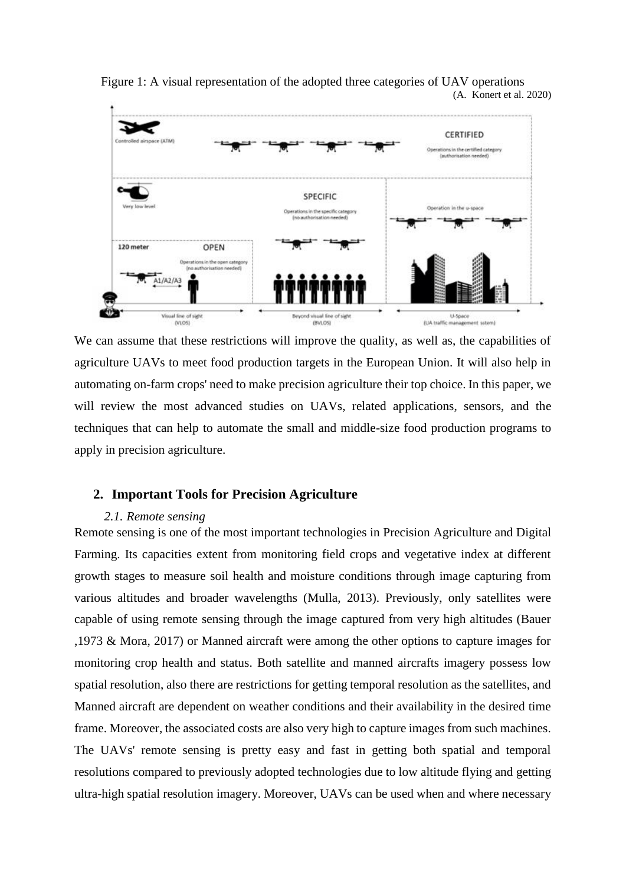

Figure 1: A visual representation of the adopted three categories of UAV operations (A. Konert et al. 2020)

We can assume that these restrictions will improve the quality, as well as, the capabilities of agriculture UAVs to meet food production targets in the European Union. It will also help in automating on-farm crops' need to make precision agriculture their top choice. In this paper, we will review the most advanced studies on UAVs, related applications, sensors, and the techniques that can help to automate the small and middle-size food production programs to apply in precision agriculture.

## **2. Important Tools for Precision Agriculture**

#### *2.1. Remote sensing*

Remote sensing is one of the most important technologies in Precision Agriculture and Digital Farming. Its capacities extent from monitoring field crops and vegetative index at different growth stages to measure soil health and moisture conditions through image capturing from various altitudes and broader wavelengths (Mulla, 2013). Previously, only satellites were capable of using remote sensing through the image captured from very high altitudes (Bauer ,1973 & Mora, 2017) or Manned aircraft were among the other options to capture images for monitoring crop health and status. Both satellite and manned aircrafts imagery possess low spatial resolution, also there are restrictions for getting temporal resolution as the satellites, and Manned aircraft are dependent on weather conditions and their availability in the desired time frame. Moreover, the associated costs are also very high to capture images from such machines. The UAVs' remote sensing is pretty easy and fast in getting both spatial and temporal resolutions compared to previously adopted technologies due to low altitude flying and getting ultra-high spatial resolution imagery. Moreover, UAVs can be used when and where necessary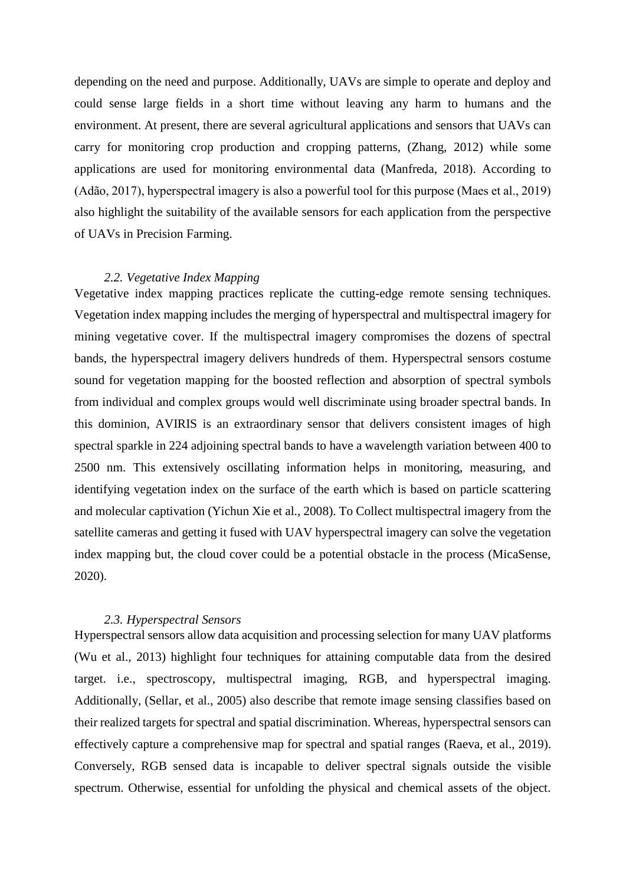depending on the need and purpose. Additionally, UAVs are simple to operate and deploy and could sense large fields in a short time without leaving any harm to humans and the environment. At present, there are several agricultural applications and sensors that UAVs can carry for monitoring crop production and cropping patterns, (Zhang, 2012) while some applications are used for monitoring environmental data (Manfreda, 2018). According to (Adão, 2017), hyperspectral imagery is also a powerful tool for this purpose (Maes et al., 2019) also highlight the suitability of the available sensors for each application from the perspective of UAVs in Precision Farming.

#### *2.2. Vegetative Index Mapping*

Vegetative index mapping practices replicate the cutting-edge remote sensing techniques. Vegetation index mapping includes the merging of hyperspectral and multispectral imagery for mining vegetative cover. If the multispectral imagery compromises the dozens of spectral bands, the hyperspectral imagery delivers hundreds of them. Hyperspectral sensors costume sound for vegetation mapping for the boosted reflection and absorption of spectral symbols from individual and complex groups would well discriminate using broader spectral bands. In this dominion, AVIRIS is an extraordinary sensor that delivers consistent images of high spectral sparkle in 224 adjoining spectral bands to have a wavelength variation between 400 to 2500 nm. This extensively oscillating information helps in monitoring, measuring, and identifying vegetation index on the surface of the earth which is based on particle scattering and molecular captivation (Yichun Xie et al., 2008). To Collect multispectral imagery from the satellite cameras and getting it fused with UAV hyperspectral imagery can solve the vegetation index mapping but, the cloud cover could be a potential obstacle in the process (MicaSense, 2020).

#### *2.3. Hyperspectral Sensors*

Hyperspectral sensors allow data acquisition and processing selection for many UAV platforms (Wu et al., 2013) highlight four techniques for attaining computable data from the desired target. i.e., spectroscopy, multispectral imaging, RGB, and hyperspectral imaging. Additionally, (Sellar, et al., 2005) also describe that remote image sensing classifies based on their realized targets for spectral and spatial discrimination. Whereas, hyperspectral sensors can effectively capture a comprehensive map for spectral and spatial ranges (Raeva, et al., 2019). Conversely, RGB sensed data is incapable to deliver spectral signals outside the visible spectrum. Otherwise, essential for unfolding the physical and chemical assets of the object.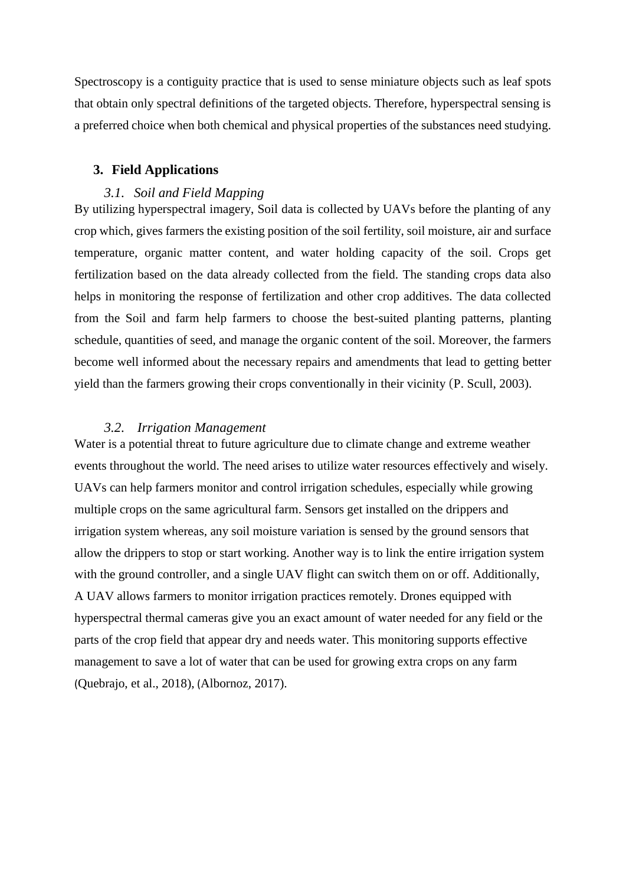Spectroscopy is a contiguity practice that is used to sense miniature objects such as leaf spots that obtain only spectral definitions of the targeted objects. Therefore, hyperspectral sensing is a preferred choice when both chemical and physical properties of the substances need studying.

## **3. Field Applications**

## *3.1. Soil and Field Mapping*

By utilizing hyperspectral imagery, Soil data is collected by UAVs before the planting of any crop which, gives farmers the existing position of the soil fertility, soil moisture, air and surface temperature, organic matter content, and water holding capacity of the soil. Crops get fertilization based on the data already collected from the field. The standing crops data also helps in monitoring the response of fertilization and other crop additives. The data collected from the Soil and farm help farmers to choose the best-suited planting patterns, planting schedule, quantities of seed, and manage the organic content of the soil. Moreover, the farmers become well informed about the necessary repairs and amendments that lead to getting better yield than the farmers growing their crops conventionally in their vicinity (P. Scull, 2003).

#### *3.2. Irrigation Management*

Water is a potential threat to future agriculture due to climate change and extreme weather events throughout the world. The need arises to utilize water resources effectively and wisely. UAVs can help farmers monitor and control irrigation schedules, especially while growing multiple crops on the same agricultural farm. Sensors get installed on the drippers and irrigation system whereas, any soil moisture variation is sensed by the ground sensors that allow the drippers to stop or start working. Another way is to link the entire irrigation system with the ground controller, and a single UAV flight can switch them on or off. Additionally, A UAV allows farmers to monitor irrigation practices remotely. Drones equipped with hyperspectral thermal cameras give you an exact amount of water needed for any field or the parts of the crop field that appear dry and needs water. This monitoring supports effective management to save a lot of water that can be used for growing extra crops on any farm (Quebrajo, et al., 2018), (Albornoz, 2017).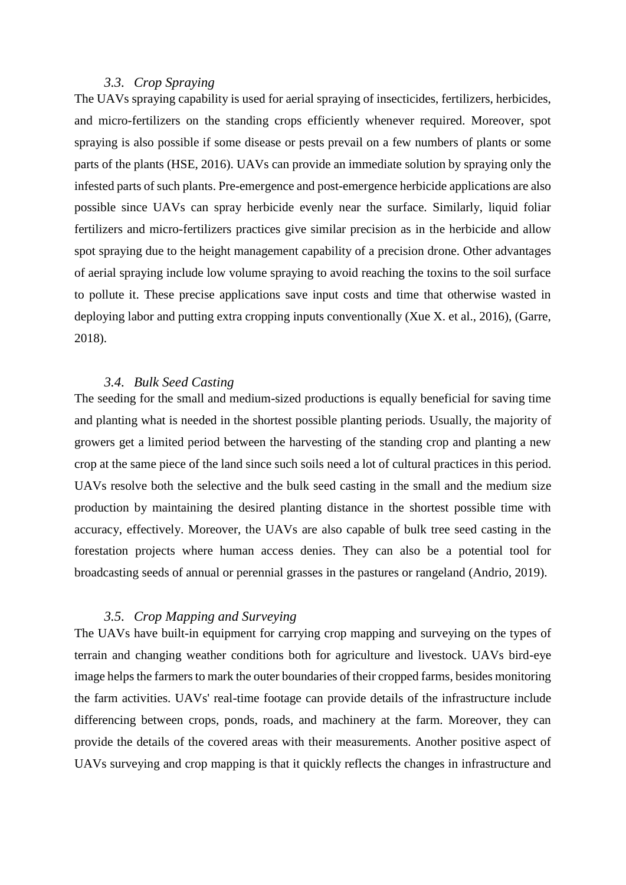# *3.3. Crop Spraying*

The UAVs spraying capability is used for aerial spraying of insecticides, fertilizers, herbicides, and micro-fertilizers on the standing crops efficiently whenever required. Moreover, spot spraying is also possible if some disease or pests prevail on a few numbers of plants or some parts of the plants (HSE, 2016). UAVs can provide an immediate solution by spraying only the infested parts of such plants. Pre-emergence and post-emergence herbicide applications are also possible since UAVs can spray herbicide evenly near the surface. Similarly, liquid foliar fertilizers and micro-fertilizers practices give similar precision as in the herbicide and allow spot spraying due to the height management capability of a precision drone. Other advantages of aerial spraying include low volume spraying to avoid reaching the toxins to the soil surface to pollute it. These precise applications save input costs and time that otherwise wasted in deploying labor and putting extra cropping inputs conventionally (Xue X. et al., 2016), (Garre, 2018).

## *3.4. Bulk Seed Casting*

The seeding for the small and medium-sized productions is equally beneficial for saving time and planting what is needed in the shortest possible planting periods. Usually, the majority of growers get a limited period between the harvesting of the standing crop and planting a new crop at the same piece of the land since such soils need a lot of cultural practices in this period. UAVs resolve both the selective and the bulk seed casting in the small and the medium size production by maintaining the desired planting distance in the shortest possible time with accuracy, effectively. Moreover, the UAVs are also capable of bulk tree seed casting in the forestation projects where human access denies. They can also be a potential tool for broadcasting seeds of annual or perennial grasses in the pastures or rangeland (Andrio, 2019).

# *3.5. Crop Mapping and Surveying*

The UAVs have built-in equipment for carrying crop mapping and surveying on the types of terrain and changing weather conditions both for agriculture and livestock. UAVs bird-eye image helps the farmers to mark the outer boundaries of their cropped farms, besides monitoring the farm activities. UAVs' real-time footage can provide details of the infrastructure include differencing between crops, ponds, roads, and machinery at the farm. Moreover, they can provide the details of the covered areas with their measurements. Another positive aspect of UAVs surveying and crop mapping is that it quickly reflects the changes in infrastructure and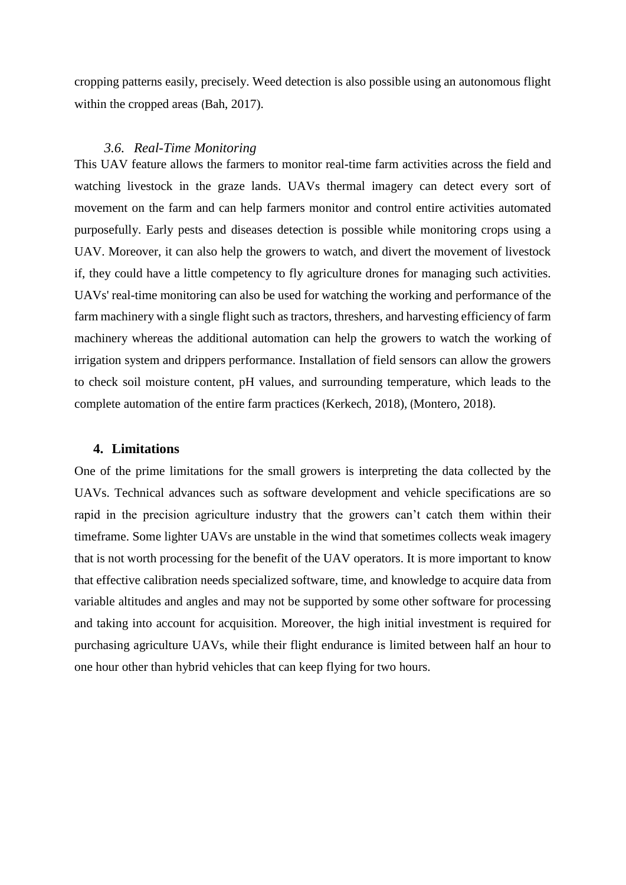cropping patterns easily, precisely. Weed detection is also possible using an autonomous flight within the cropped areas (Bah, 2017).

## *3.6. Real-Time Monitoring*

This UAV feature allows the farmers to monitor real-time farm activities across the field and watching livestock in the graze lands. UAVs thermal imagery can detect every sort of movement on the farm and can help farmers monitor and control entire activities automated purposefully. Early pests and diseases detection is possible while monitoring crops using a UAV. Moreover, it can also help the growers to watch, and divert the movement of livestock if, they could have a little competency to fly agriculture drones for managing such activities. UAVs' real-time monitoring can also be used for watching the working and performance of the farm machinery with a single flight such as tractors, threshers, and harvesting efficiency of farm machinery whereas the additional automation can help the growers to watch the working of irrigation system and drippers performance. Installation of field sensors can allow the growers to check soil moisture content, pH values, and surrounding temperature, which leads to the complete automation of the entire farm practices (Kerkech, 2018), (Montero, 2018).

#### **4. Limitations**

One of the prime limitations for the small growers is interpreting the data collected by the UAVs. Technical advances such as software development and vehicle specifications are so rapid in the precision agriculture industry that the growers can't catch them within their timeframe. Some lighter UAVs are unstable in the wind that sometimes collects weak imagery that is not worth processing for the benefit of the UAV operators. It is more important to know that effective calibration needs specialized software, time, and knowledge to acquire data from variable altitudes and angles and may not be supported by some other software for processing and taking into account for acquisition. Moreover, the high initial investment is required for purchasing agriculture UAVs, while their flight endurance is limited between half an hour to one hour other than hybrid vehicles that can keep flying for two hours.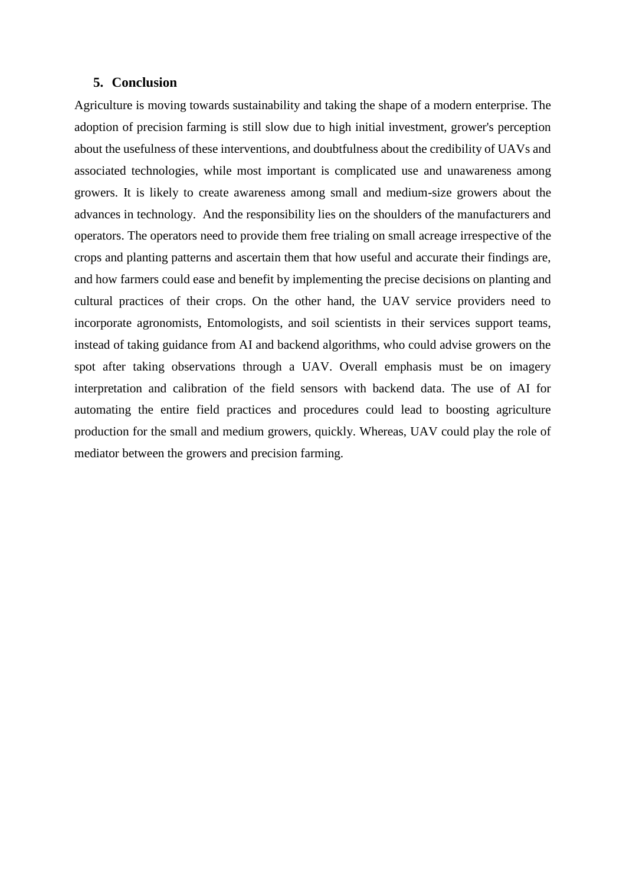## **5. Conclusion**

Agriculture is moving towards sustainability and taking the shape of a modern enterprise. The adoption of precision farming is still slow due to high initial investment, grower's perception about the usefulness of these interventions, and doubtfulness about the credibility of UAVs and associated technologies, while most important is complicated use and unawareness among growers. It is likely to create awareness among small and medium-size growers about the advances in technology. And the responsibility lies on the shoulders of the manufacturers and operators. The operators need to provide them free trialing on small acreage irrespective of the crops and planting patterns and ascertain them that how useful and accurate their findings are, and how farmers could ease and benefit by implementing the precise decisions on planting and cultural practices of their crops. On the other hand, the UAV service providers need to incorporate agronomists, Entomologists, and soil scientists in their services support teams, instead of taking guidance from AI and backend algorithms, who could advise growers on the spot after taking observations through a UAV. Overall emphasis must be on imagery interpretation and calibration of the field sensors with backend data. The use of AI for automating the entire field practices and procedures could lead to boosting agriculture production for the small and medium growers, quickly. Whereas, UAV could play the role of mediator between the growers and precision farming.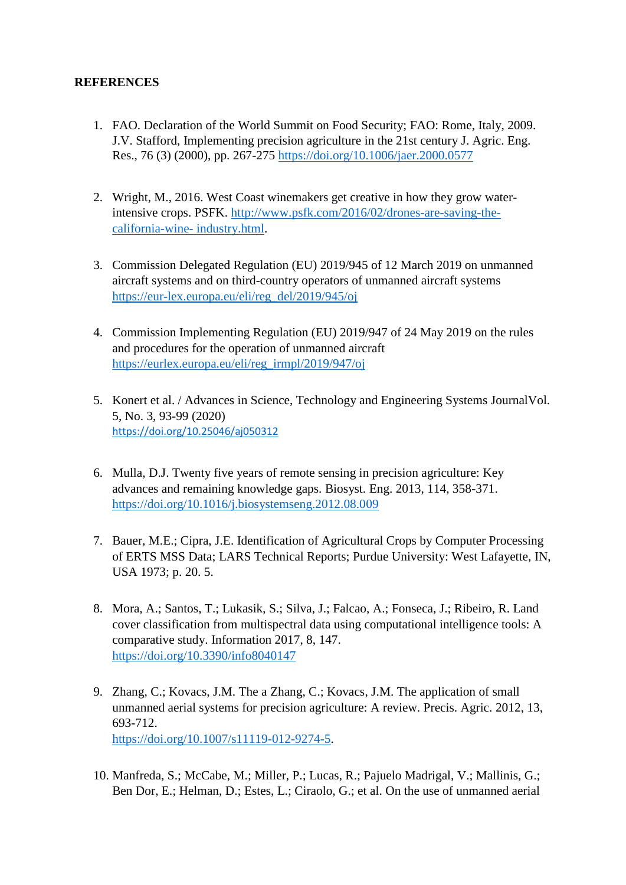# **REFERENCES**

- 1. FAO. Declaration of the World Summit on Food Security; FAO: Rome, Italy, 2009. J.V. Stafford, Implementing precision agriculture in the 21st century J. Agric. Eng. Res., 76 (3) (2000), pp. 267-275<https://doi.org/10.1006/jaer.2000.0577>
- 2. Wright, M., 2016. West Coast winemakers get creative in how they grow waterintensive crops. PSFK. [http://www.psfk.com/2016/02/drones-are-saving-the](http://www.psfk.com/2016/02/drones-are-saving-the-california-wine-%20industry.html)[california-wine-](http://www.psfk.com/2016/02/drones-are-saving-the-california-wine-%20industry.html) industry.html.
- 3. Commission Delegated Regulation (EU) 2019/945 of 12 March 2019 on unmanned aircraft systems and on third-country operators of unmanned aircraft systems [https://eur-lex.europa.eu/eli/reg\\_del/2019/945/oj](https://eur-lex.europa.eu/eli/reg_del/2019/945/oj)
- 4. Commission Implementing Regulation (EU) 2019/947 of 24 May 2019 on the rules and procedures for the operation of unmanned aircraft [https://eurlex.europa.eu/eli/reg\\_irmpl/2019/947/oj](https://eurlex.europa.eu/eli/reg_irmpl/2019/947/oj)
- 5. Konert et al. / Advances in Science, Technology and Engineering Systems JournalVol. 5, No. 3, 93-99 (2020) https://doi.org[/10.25046/aj050312](http://dx.doi.org/10.25046/aj050312)
- 6. Mulla, D.J. Twenty five years of remote sensing in precision agriculture: Key advances and remaining knowledge gaps. Biosyst. Eng. 2013, 114, 358-371. <https://doi.org/10.1016/j.biosystemseng.2012.08.009>
- 7. Bauer, M.E.; Cipra, J.E. Identification of Agricultural Crops by Computer Processing of ERTS MSS Data; LARS Technical Reports; Purdue University: West Lafayette, IN, USA 1973; p. 20. 5.
- 8. Mora, A.; Santos, T.; Lukasik, S.; Silva, J.; Falcao, A.; Fonseca, J.; Ribeiro, R. Land cover classification from multispectral data using computational intelligence tools: A comparative study. Information 2017, 8, 147. <https://doi.org/10.3390/info8040147>
- 9. Zhang, C.; Kovacs, J.M. The a Zhang, C.; Kovacs, J.M. The application of small unmanned aerial systems for precision agriculture: A review. Precis. Agric. 2012, 13, 693-712. [https://doi.org/10.1007/s11119-012-9274-5.](https://doi.org/10.1007/s11119-012-9274-5)
- 10. Manfreda, S.; McCabe, M.; Miller, P.; Lucas, R.; Pajuelo Madrigal, V.; Mallinis, G.; Ben Dor, E.; Helman, D.; Estes, L.; Ciraolo, G.; et al. On the use of unmanned aerial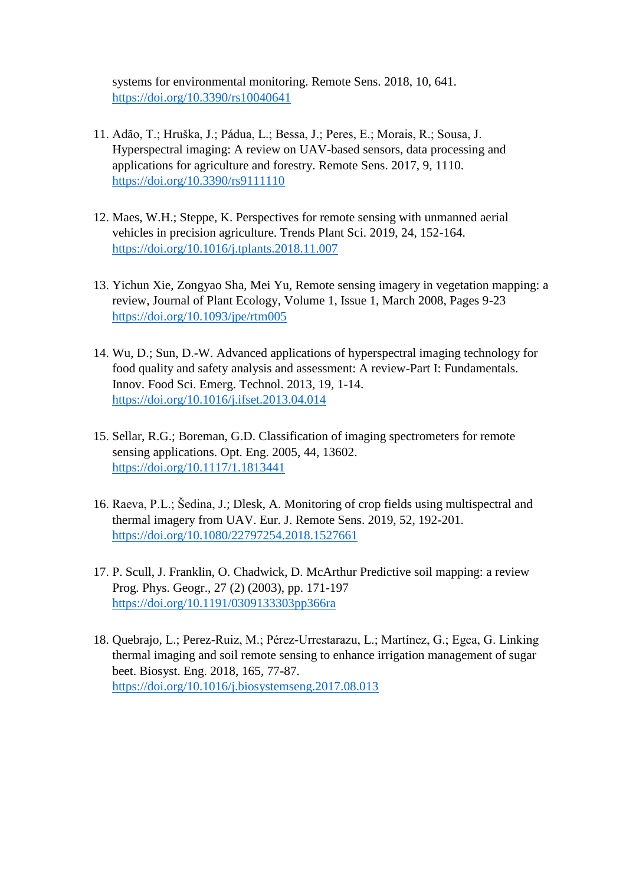systems for environmental monitoring. Remote Sens. 2018, 10, 641. <https://doi.org/10.3390/rs10040641>

- 11. Adão, T.; Hruška, J.; Pádua, L.; Bessa, J.; Peres, E.; Morais, R.; Sousa, J. Hyperspectral imaging: A review on UAV-based sensors, data processing and applications for agriculture and forestry. Remote Sens. 2017, 9, 1110. <https://doi.org/10.3390/rs9111110>
- 12. Maes, W.H.; Steppe, K. Perspectives for remote sensing with unmanned aerial vehicles in precision agriculture. Trends Plant Sci. 2019, 24, 152-164. <https://doi.org/10.1016/j.tplants.2018.11.007>
- 13. Yichun Xie, Zongyao Sha, Mei Yu, Remote sensing imagery in vegetation mapping: a review, Journal of Plant Ecology, Volume 1, Issue 1, March 2008, Pages 9-23 <https://doi.org/10.1093/jpe/rtm005>
- 14. Wu, D.; Sun, D.-W. Advanced applications of hyperspectral imaging technology for food quality and safety analysis and assessment: A review-Part I: Fundamentals. Innov. Food Sci. Emerg. Technol. 2013, 19, 1-14. <https://doi.org/10.1016/j.ifset.2013.04.014>
- 15. Sellar, R.G.; Boreman, G.D. Classification of imaging spectrometers for remote sensing applications. Opt. Eng. 2005, 44, 13602. <https://doi.org/10.1117/1.1813441>
- 16. Raeva, P.L.; Šedina, J.; Dlesk, A. Monitoring of crop fields using multispectral and thermal imagery from UAV. Eur. J. Remote Sens. 2019, 52, 192-201. <https://doi.org/10.1080/22797254.2018.1527661>
- 17. P. Scull, J. Franklin, O. Chadwick, D. McArthur Predictive soil mapping: a review Prog. Phys. Geogr., 27 (2) (2003), pp. 171-197 <https://doi.org/10.1191/0309133303pp366ra>
- 18. Quebrajo, L.; Perez-Ruiz, M.; Pérez-Urrestarazu, L.; Martínez, G.; Egea, G. Linking thermal imaging and soil remote sensing to enhance irrigation management of sugar beet. Biosyst. Eng. 2018, 165, 77-87. <https://doi.org/10.1016/j.biosystemseng.2017.08.013>